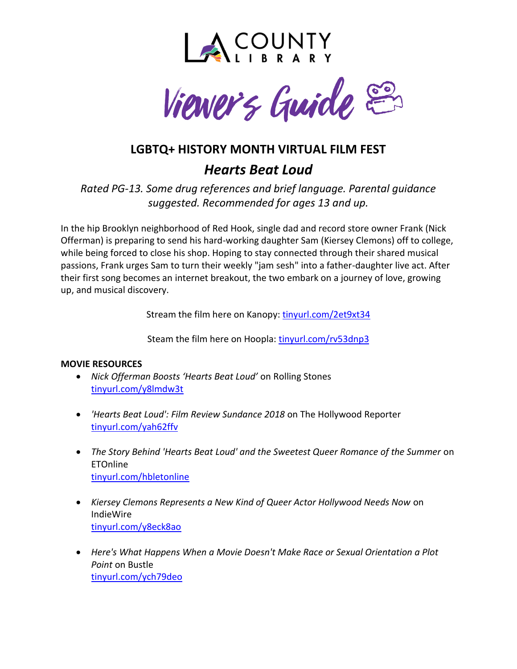



# **LGBTQ+ HISTORY MONTH VIRTUAL FILM FEST** *Hearts Beat Loud*

*Rated PG-13. Some drug references and brief language. Parental guidance suggested. Recommended for ages 13 and up.*

In the hip Brooklyn neighborhood of Red Hook, single dad and record store owner Frank (Nick Offerman) is preparing to send his hard-working daughter Sam (Kiersey Clemons) off to college, while being forced to close his shop. Hoping to stay connected through their shared musical passions, Frank urges Sam to turn their weekly "jam sesh" into a father-daughter live act. After their first song becomes an internet breakout, the two embark on a journey of love, growing up, and musical discovery.

Stream the film here on Kanopy: [tinyurl.com/2et9xt34](http://tinyurl.com/2et9xt34)

Steam the film here on Hoopla: [tinyurl.com/rv53dnp3](http://tinyurl.com/rv53dnp3)

# **MOVIE RESOURCES**

- *Nick Offerman Boosts 'Hearts Beat Loud'* on Rolling Stones [tinyurl.com/y8lmdw3t](https://tinyurl.com/y8lmdw3t)
- *'Hearts Beat Loud': Film Review Sundance 2018* on The Hollywood Reporter [tinyurl.com/yah62ffv](https://tinyurl.com/yah62ffv)
- *The Story Behind 'Hearts Beat Loud' and the Sweetest Queer Romance of the Summer* on ETOnline [tinyurl.com/hbletonline](https://tinyurl.com/hbletonline)
- *Kiersey Clemons Represents a New Kind of Queer Actor Hollywood Needs Now* on IndieWire [tinyurl.com/y8eck8ao](https://tinyurl.com/y8eck8ao)
- *Here's What Happens When a Movie Doesn't Make Race or Sexual Orientation a Plot Point* on Bustle [tinyurl.com/ych79deo](https://tinyurl.com/ych79deo)